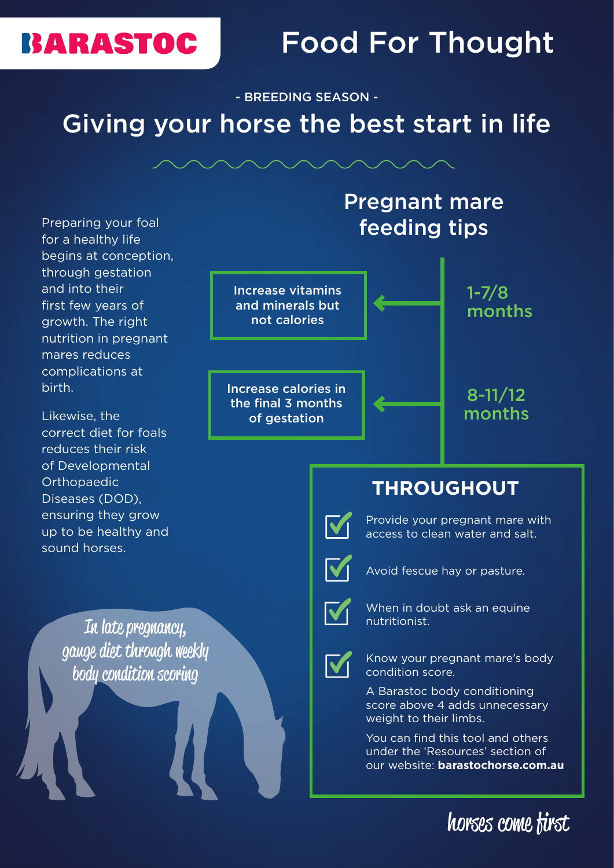## **BARASTOC**

# Food For Thought

- BREEDING SEASON - Giving your horse the best start in life



### **THROUGHOUT**



Provide your pregnant mare with access to clean water and salt.



Avoid fescue hay or pasture.



When in doubt ask an equine nutritionist.



Know your pregnant mare's body condition score.

A Barastoc body conditioning score above 4 adds unnecessary weight to their limbs.

You can find this tool and others under the 'Resources' section of our website: **barastochorse.com.au**

horses come first

Preparing your foal for a healthy life begins at conception, through gestation and into their first few years of growth. The right nutrition in pregnant mares reduces complications at birth.

Likewise, the correct diet for foals reduces their risk of Developmental **Orthopaedic** Diseases (DOD), ensuring they grow up to be healthy and sound horses.

> In late pregnancy, gauge diet through weekly body condition scoring